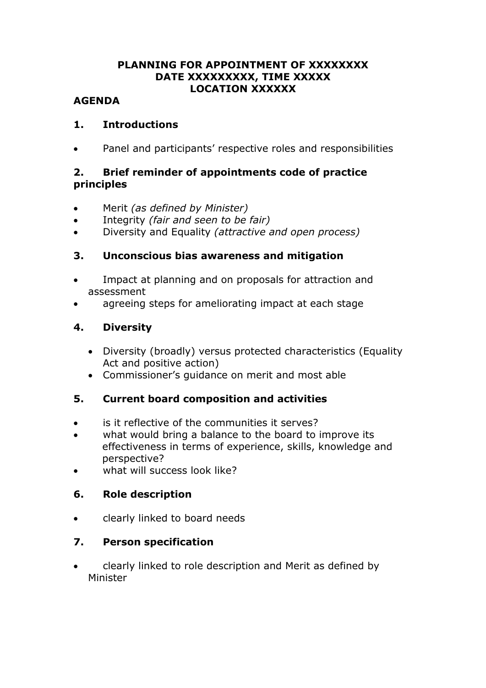#### **PLANNING FOR APPOINTMENT OF XXXXXXXX DATE XXXXXXXXX, TIME XXXXX LOCATION XXXXXX**

#### **AGENDA**

#### **1. Introductions**

Panel and participants' respective roles and responsibilities

# **2. Brief reminder of appointments code of practice principles**

- Merit *(as defined by Minister)*
- Integrity *(fair and seen to be fair)*
- Diversity and Equality *(attractive and open process)*

# **3. Unconscious bias awareness and mitigation**

- Impact at planning and on proposals for attraction and assessment
- agreeing steps for ameliorating impact at each stage

# **4. Diversity**

- Diversity (broadly) versus protected characteristics (Equality Act and positive action)
- Commissioner's guidance on merit and most able

# **5. Current board composition and activities**

- is it reflective of the communities it serves?
- what would bring a balance to the board to improve its effectiveness in terms of experience, skills, knowledge and perspective?
- what will success look like?

# **6. Role description**

clearly linked to board needs

# **7. Person specification**

 clearly linked to role description and Merit as defined by Minister